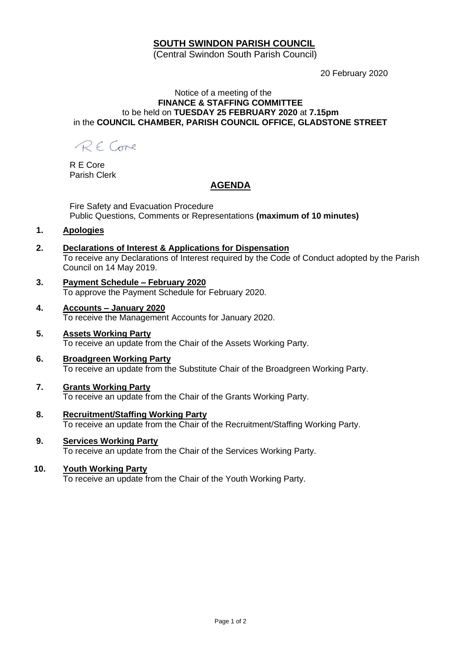## **SOUTH SWINDON PARISH COUNCIL**

(Central Swindon South Parish Council)

20 February 2020

### Notice of a meeting of the **FINANCE & STAFFING COMMITTEE** to be held on **TUESDAY 25 FEBRUARY 2020** at **7.15pm** in the **COUNCIL CHAMBER, PARISH COUNCIL OFFICE, GLADSTONE STREET**

RE Come

R E Core Parish Clerk

## **AGENDA**

Fire Safety and Evacuation Procedure Public Questions, Comments or Representations **(maximum of 10 minutes)**

**1. Apologies**

# **2. Declarations of Interest & Applications for Dispensation**

To receive any Declarations of Interest required by the Code of Conduct adopted by the Parish Council on 14 May 2019.

- **3. Payment Schedule – February 2020** To approve the Payment Schedule for February 2020.
- **4. Accounts – January 2020** To receive the Management Accounts for January 2020.
- **5. Assets Working Party** To receive an update from the Chair of the Assets Working Party.
- **6. Broadgreen Working Party** To receive an update from the Substitute Chair of the Broadgreen Working Party.

#### **7. Grants Working Party** To receive an update from the Chair of the Grants Working Party.

- **8. Recruitment/Staffing Working Party** To receive an update from the Chair of the Recruitment/Staffing Working Party.
- **9. Services Working Party** To receive an update from the Chair of the Services Working Party.

## **10. Youth Working Party**

To receive an update from the Chair of the Youth Working Party.